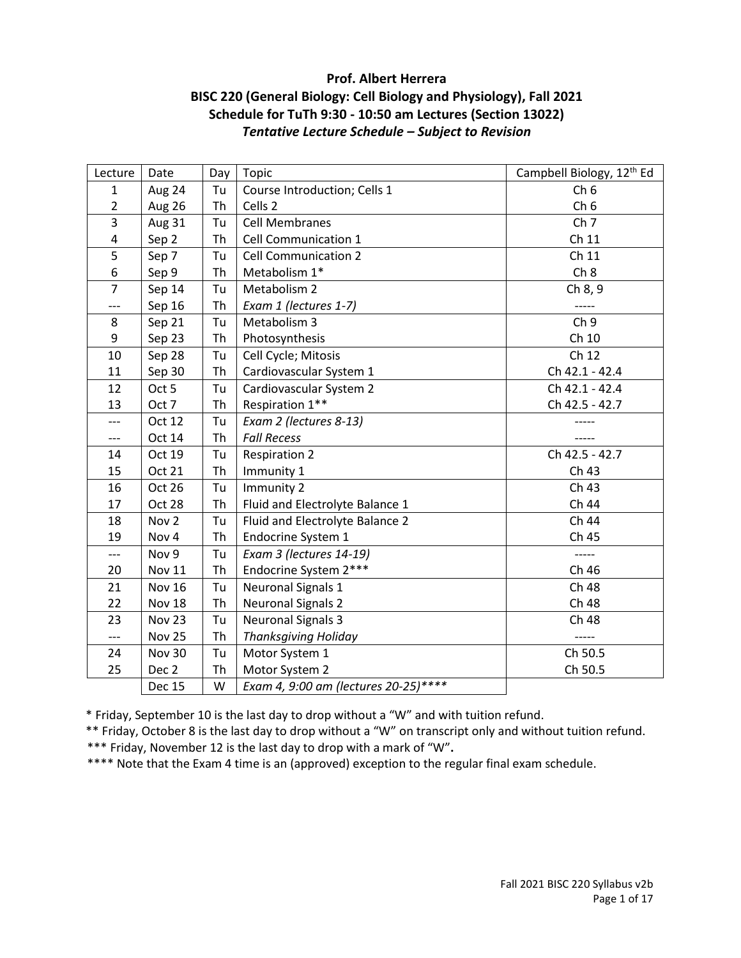# **Prof. Albert Herrera BISC 220 (General Biology: Cell Biology and Physiology), Fall 2021 Schedule for TuTh 9:30 - 10:50 am Lectures (Section 13022)** *Tentative Lecture Schedule – Subject to Revision*

| Lecture        | Date             | Day       | Topic                                | Campbell Biology, 12 <sup>th</sup> Ed |
|----------------|------------------|-----------|--------------------------------------|---------------------------------------|
| $\mathbf{1}$   | Aug 24           | Tu        | Course Introduction; Cells 1         | Ch <sub>6</sub>                       |
| $\overline{2}$ | <b>Aug 26</b>    | Th        | Cells 2                              | Ch <sub>6</sub>                       |
| 3              | <b>Aug 31</b>    | Tu        | <b>Cell Membranes</b>                | Ch <sub>7</sub>                       |
| 4              | Sep 2            | <b>Th</b> | Cell Communication 1                 | Ch 11                                 |
| 5              | Sep 7            | Tu        | <b>Cell Communication 2</b>          | Ch 11                                 |
| 6              | Sep 9            | Th        | Metabolism 1*                        | Ch 8                                  |
| $\overline{7}$ | Sep 14           | Tu        | Metabolism 2                         | Ch 8, 9                               |
| ---            | Sep 16           | Th        | Exam 1 (lectures 1-7)                | -----                                 |
| 8              | Sep 21           | Tu        | Metabolism 3                         | Ch <sub>9</sub>                       |
| 9              | Sep 23           | <b>Th</b> | Photosynthesis                       | Ch 10                                 |
| 10             | Sep 28           | Tu        | Cell Cycle; Mitosis                  | Ch 12                                 |
| 11             | Sep 30           | Th        | Cardiovascular System 1              | Ch 42.1 - 42.4                        |
| 12             | Oct 5            | Tu        | Cardiovascular System 2              | Ch 42.1 - 42.4                        |
| 13             | Oct 7            | Th        | Respiration 1**                      | Ch 42.5 - 42.7                        |
| ---            | Oct 12           | Tu        | Exam 2 (lectures 8-13)               |                                       |
| ---            | Oct 14           | <b>Th</b> | <b>Fall Recess</b>                   |                                       |
| 14             | Oct 19           | Tu        | <b>Respiration 2</b>                 | Ch 42.5 - 42.7                        |
| 15             | <b>Oct 21</b>    | Th        | Immunity 1                           | Ch 43                                 |
| 16             | Oct 26           | Tu        | Immunity 2                           | Ch 43                                 |
| 17             | Oct 28           | Th        | Fluid and Electrolyte Balance 1      | Ch 44                                 |
| 18             | Nov <sub>2</sub> | Tu        | Fluid and Electrolyte Balance 2      | Ch 44                                 |
| 19             | Nov 4            | <b>Th</b> | Endocrine System 1                   | Ch 45                                 |
| $---$          | Nov 9            | Tu        | Exam 3 (lectures 14-19)              | $--- -$                               |
| 20             | Nov 11           | Th        | Endocrine System 2***                | Ch 46                                 |
| 21             | Nov 16           | Tu        | <b>Neuronal Signals 1</b>            | Ch 48                                 |
| 22             | Nov 18           | Th        | <b>Neuronal Signals 2</b>            | Ch 48                                 |
| 23             | Nov 23           | Tu        | <b>Neuronal Signals 3</b>            | Ch 48                                 |
| $\overline{a}$ | Nov 25           | <b>Th</b> | <b>Thanksgiving Holiday</b>          | -----                                 |
| 24             | <b>Nov 30</b>    | Tu        | Motor System 1                       | Ch 50.5                               |
| 25             | Dec 2            | Th        | Motor System 2                       | Ch 50.5                               |
|                | <b>Dec 15</b>    | W         | Exam 4, 9:00 am (lectures 20-25)**** |                                       |

\* Friday, September 10 is the last day to drop without a "W" and with tuition refund.

\*\* Friday, October 8 is the last day to drop without a "W" on transcript only and without tuition refund.

\*\*\* Friday, November 12 is the last day to drop with a mark of "W"**.**

\*\*\*\* Note that the Exam 4 time is an (approved) exception to the regular final exam schedule.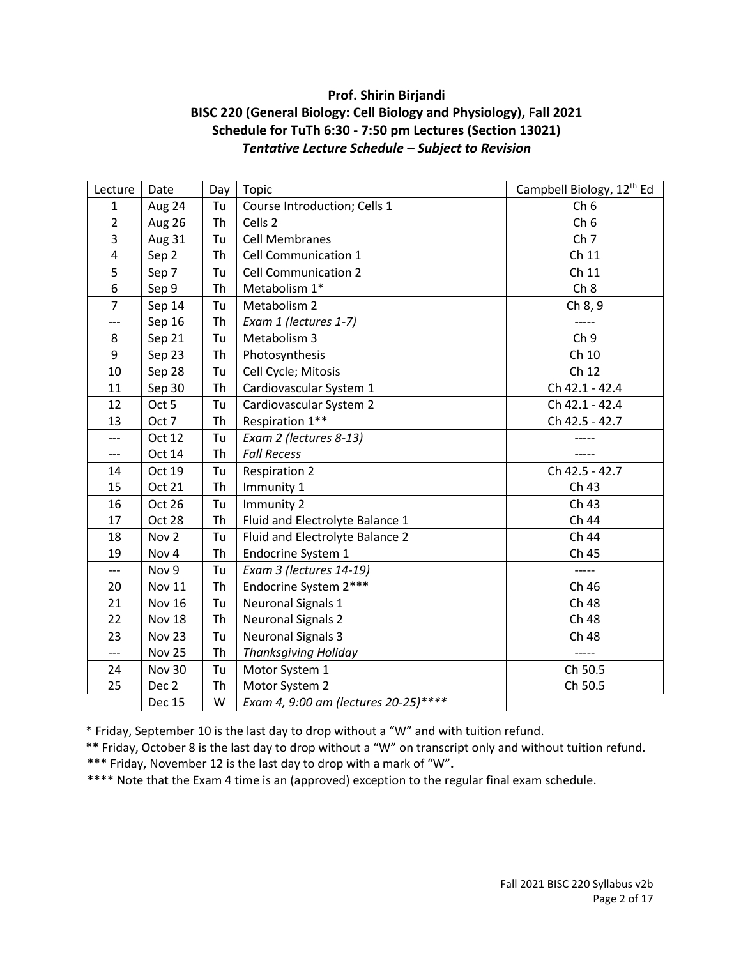# **Prof. Shirin Birjandi BISC 220 (General Biology: Cell Biology and Physiology), Fall 2021 Schedule for TuTh 6:30 - 7:50 pm Lectures (Section 13021)** *Tentative Lecture Schedule – Subject to Revision*

| Lecture        | Date             | Day       | Topic                                | Campbell Biology, 12 <sup>th</sup> Ed |
|----------------|------------------|-----------|--------------------------------------|---------------------------------------|
| $\mathbf{1}$   | Aug 24           | Tu        | Course Introduction; Cells 1         | Ch <sub>6</sub>                       |
| $\overline{2}$ | Aug 26           | Th        | Cells 2                              | Ch <sub>6</sub>                       |
| 3              | Aug 31           | Tu        | <b>Cell Membranes</b>                | Ch <sub>7</sub>                       |
| 4              | Sep 2            | <b>Th</b> | Cell Communication 1                 | Ch 11                                 |
| 5              | Sep 7            | Tu        | <b>Cell Communication 2</b>          | Ch 11                                 |
| 6              | Sep 9            | Th        | Metabolism 1*                        | Ch 8                                  |
| $\overline{7}$ | Sep 14           | Tu        | Metabolism 2                         | Ch 8, 9                               |
| ---            | Sep 16           | Th        | Exam 1 (lectures 1-7)                |                                       |
| 8              | Sep 21           | Tu        | Metabolism 3                         | Ch <sub>9</sub>                       |
| 9              | Sep 23           | <b>Th</b> | Photosynthesis                       | Ch 10                                 |
| 10             | Sep 28           | Tu        | Cell Cycle; Mitosis                  | Ch 12                                 |
| 11             | Sep 30           | Th        | Cardiovascular System 1              | Ch 42.1 - 42.4                        |
| 12             | Oct 5            | Tu        | Cardiovascular System 2              | Ch 42.1 - 42.4                        |
| 13             | Oct 7            | Th        | Respiration 1**                      | Ch 42.5 - 42.7                        |
| ---            | Oct 12           | Tu        | Exam 2 (lectures 8-13)               |                                       |
| ---            | Oct 14           | <b>Th</b> | <b>Fall Recess</b>                   |                                       |
| 14             | Oct 19           | Tu        | <b>Respiration 2</b>                 | Ch 42.5 - 42.7                        |
| 15             | Oct 21           | Th        | Immunity 1                           | Ch 43                                 |
| 16             | Oct 26           | Tu        | Immunity 2                           | Ch 43                                 |
| 17             | Oct 28           | Th        | Fluid and Electrolyte Balance 1      | Ch 44                                 |
| 18             | Nov <sub>2</sub> | Tu        | Fluid and Electrolyte Balance 2      | Ch 44                                 |
| 19             | Nov 4            | <b>Th</b> | Endocrine System 1                   | Ch 45                                 |
| $---$          | Nov 9            | Tu        | Exam 3 (lectures 14-19)              | -----                                 |
| 20             | <b>Nov 11</b>    | Th        | Endocrine System 2***                | Ch 46                                 |
| 21             | <b>Nov 16</b>    | Tu        | <b>Neuronal Signals 1</b>            | Ch 48                                 |
| 22             | Nov 18           | Th        | <b>Neuronal Signals 2</b>            | Ch 48                                 |
| 23             | Nov 23           | Tu        | <b>Neuronal Signals 3</b>            | Ch 48                                 |
| $---$          | Nov 25           | Th        | <b>Thanksgiving Holiday</b>          | -----                                 |
| 24             | Nov 30           | Tu        | Motor System 1                       | Ch 50.5                               |
| 25             | Dec 2            | Th        | Motor System 2                       | Ch 50.5                               |
|                | <b>Dec 15</b>    | W         | Exam 4, 9:00 am (lectures 20-25)**** |                                       |

\* Friday, September 10 is the last day to drop without a "W" and with tuition refund.

\*\* Friday, October 8 is the last day to drop without a "W" on transcript only and without tuition refund.

\*\*\* Friday, November 12 is the last day to drop with a mark of "W"**.**

\*\*\*\* Note that the Exam 4 time is an (approved) exception to the regular final exam schedule.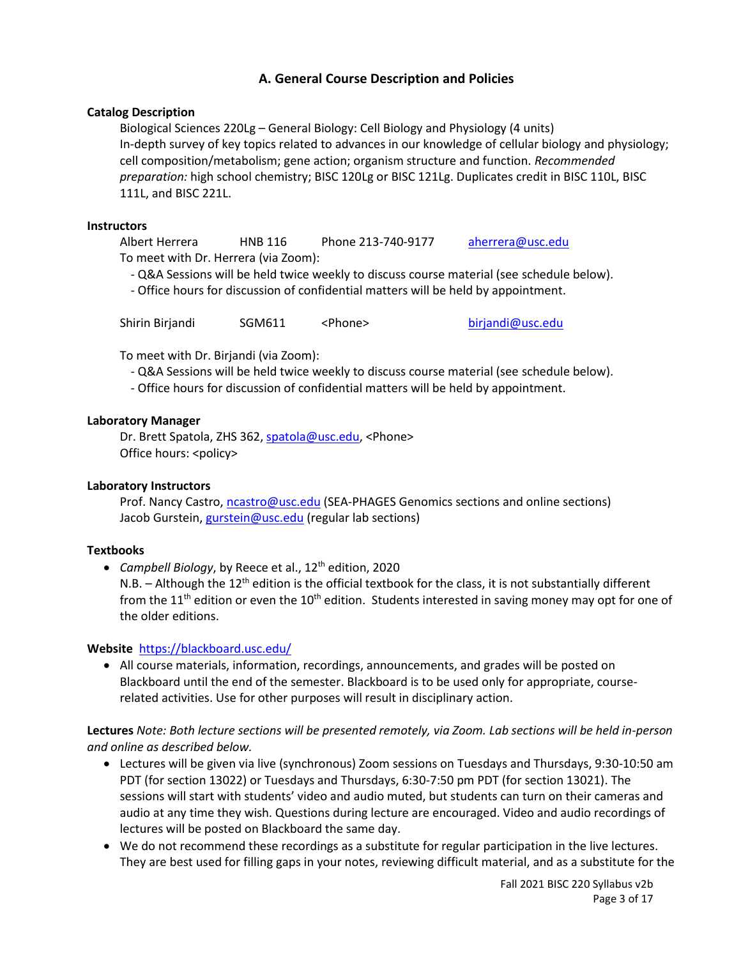# **A. General Course Description and Policies**

## **Catalog Description**

Biological Sciences 220Lg – General Biology: Cell Biology and Physiology (4 units) In-depth survey of key topics related to advances in our knowledge of cellular biology and physiology; cell composition/metabolism; gene action; organism structure and function. *Recommended preparation:* high school chemistry; BISC 120Lg or BISC 121Lg. Duplicates credit in BISC 110L, BISC 111L, and BISC 221L.

#### **Instructors**

Albert Herrera HNB 116 Phone 213-740-9177 [aherrera@usc.edu](mailto:aherrera@usc.edu) To meet with Dr. Herrera (via Zoom):

- Q&A Sessions will be held twice weekly to discuss course material (see schedule below).

- Office hours for discussion of confidential matters will be held by appointment.

Shirin Birjandi SGM611 <Phone> [birjandi@usc.edu](mailto:birjandi@usc.edu)

To meet with Dr. Birjandi (via Zoom):

- Q&A Sessions will be held twice weekly to discuss course material (see schedule below).
- Office hours for discussion of confidential matters will be held by appointment.

## **Laboratory Manager**

Dr. Brett Spatola, ZHS 362, [spatola@usc.edu,](mailto:spatola@usc.edu) <Phone> Office hours: <policy>

## **Laboratory Instructors**

Prof. Nancy Castro, [ncastro@usc.edu](mailto:ncastro@usc.edu) (SEA-PHAGES Genomics sections and online sections) Jacob Gurstein, [gurstein@usc.edu](mailto:gurstein@usc.edu) (regular lab sections)

## **Textbooks**

**•** Campbell Biology, by Reece et al., 12<sup>th</sup> edition, 2020

N.B.  $-$  Although the 12<sup>th</sup> edition is the official textbook for the class, it is not substantially different from the 11<sup>th</sup> edition or even the 10<sup>th</sup> edition. Students interested in saving money may opt for one of the older editions.

## **Website** <https://blackboard.usc.edu/>

 All course materials, information, recordings, announcements, and grades will be posted on Blackboard until the end of the semester. Blackboard is to be used only for appropriate, courserelated activities. Use for other purposes will result in disciplinary action.

## **Lectures** *Note: Both lecture sections will be presented remotely, via Zoom. Lab sections will be held in-person and online as described below.*

- Lectures will be given via live (synchronous) Zoom sessions on Tuesdays and Thursdays, 9:30-10:50 am PDT (for section 13022) or Tuesdays and Thursdays, 6:30-7:50 pm PDT (for section 13021). The sessions will start with students' video and audio muted, but students can turn on their cameras and audio at any time they wish. Questions during lecture are encouraged. Video and audio recordings of lectures will be posted on Blackboard the same day.
- We do not recommend these recordings as a substitute for regular participation in the live lectures. They are best used for filling gaps in your notes, reviewing difficult material, and as a substitute for the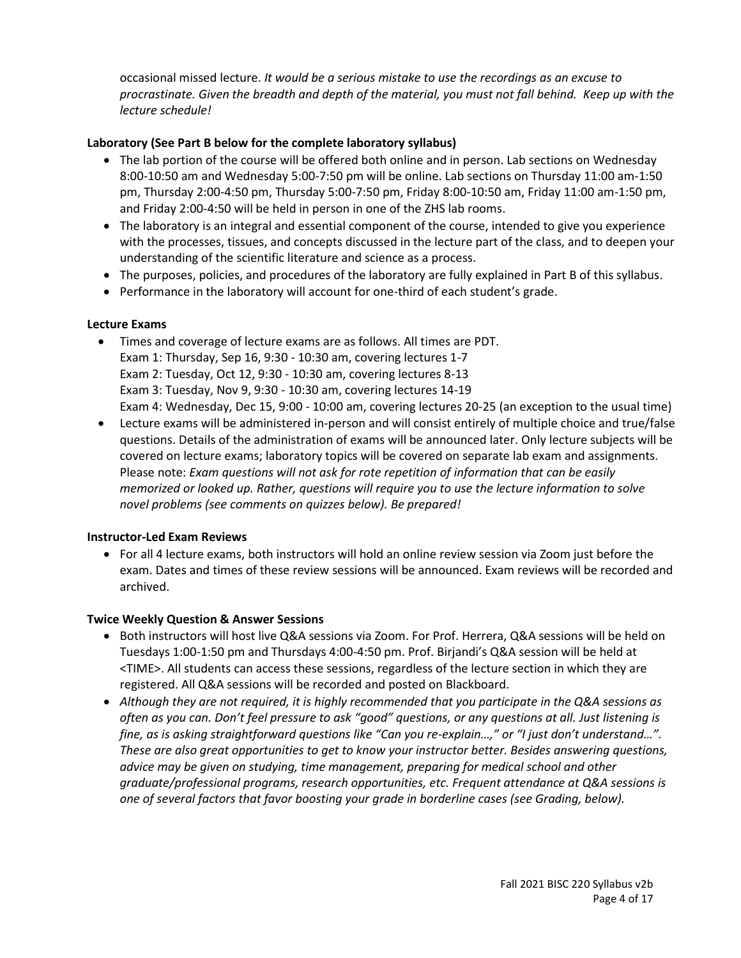occasional missed lecture. *It would be a serious mistake to use the recordings as an excuse to procrastinate. Given the breadth and depth of the material, you must not fall behind. Keep up with the lecture schedule!*

# **Laboratory (See Part B below for the complete laboratory syllabus)**

- The lab portion of the course will be offered both online and in person. Lab sections on Wednesday 8:00-10:50 am and Wednesday 5:00-7:50 pm will be online. Lab sections on Thursday 11:00 am-1:50 pm, Thursday 2:00-4:50 pm, Thursday 5:00-7:50 pm, Friday 8:00-10:50 am, Friday 11:00 am-1:50 pm, and Friday 2:00-4:50 will be held in person in one of the ZHS lab rooms.
- The laboratory is an integral and essential component of the course, intended to give you experience with the processes, tissues, and concepts discussed in the lecture part of the class, and to deepen your understanding of the scientific literature and science as a process.
- The purposes, policies, and procedures of the laboratory are fully explained in Part B of this syllabus.
- Performance in the laboratory will account for one-third of each student's grade.

# **Lecture Exams**

- Times and coverage of lecture exams are as follows. All times are PDT. Exam 1: Thursday, Sep 16, 9:30 - 10:30 am, covering lectures 1-7 Exam 2: Tuesday, Oct 12, 9:30 - 10:30 am, covering lectures 8-13 Exam 3: Tuesday, Nov 9, 9:30 - 10:30 am, covering lectures 14-19 Exam 4: Wednesday, Dec 15, 9:00 - 10:00 am, covering lectures 20-25 (an exception to the usual time)
- Lecture exams will be administered in-person and will consist entirely of multiple choice and true/false questions. Details of the administration of exams will be announced later. Only lecture subjects will be covered on lecture exams; laboratory topics will be covered on separate lab exam and assignments. Please note: *Exam questions will not ask for rote repetition of information that can be easily memorized or looked up. Rather, questions will require you to use the lecture information to solve novel problems (see comments on quizzes below). Be prepared!*

## **Instructor-Led Exam Reviews**

 For all 4 lecture exams, both instructors will hold an online review session via Zoom just before the exam. Dates and times of these review sessions will be announced. Exam reviews will be recorded and archived.

## **Twice Weekly Question & Answer Sessions**

- Both instructors will host live Q&A sessions via Zoom. For Prof. Herrera, Q&A sessions will be held on Tuesdays 1:00-1:50 pm and Thursdays 4:00-4:50 pm. Prof. Birjandi's Q&A session will be held at <TIME>. All students can access these sessions, regardless of the lecture section in which they are registered. All Q&A sessions will be recorded and posted on Blackboard.
- *Although they are not required, it is highly recommended that you participate in the Q&A sessions as often as you can. Don't feel pressure to ask "good" questions, or any questions at all. Just listening is fine, as is asking straightforward questions like "Can you re-explain…," or "I just don't understand…". These are also great opportunities to get to know your instructor better. Besides answering questions, advice may be given on studying, time management, preparing for medical school and other graduate/professional programs, research opportunities, etc. Frequent attendance at Q&A sessions is one of several factors that favor boosting your grade in borderline cases (see Grading, below).*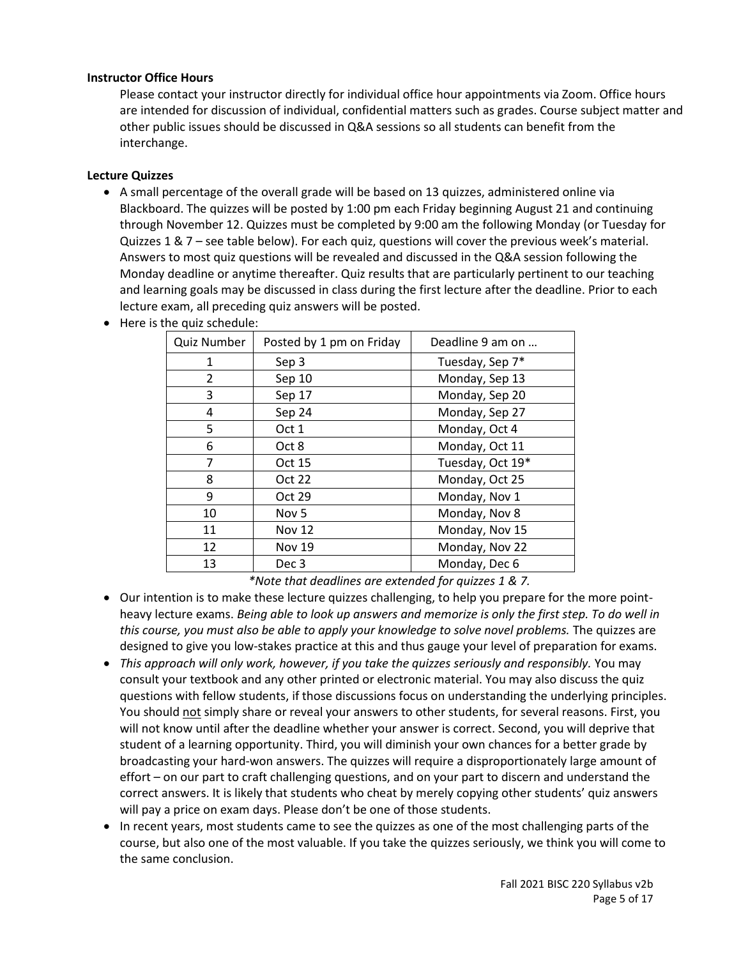## **Instructor Office Hours**

Please contact your instructor directly for individual office hour appointments via Zoom. Office hours are intended for discussion of individual, confidential matters such as grades. Course subject matter and other public issues should be discussed in Q&A sessions so all students can benefit from the interchange.

## **Lecture Quizzes**

 A small percentage of the overall grade will be based on 13 quizzes, administered online via Blackboard. The quizzes will be posted by 1:00 pm each Friday beginning August 21 and continuing through November 12. Quizzes must be completed by 9:00 am the following Monday (or Tuesday for Quizzes 1 & 7 – see table below). For each quiz, questions will cover the previous week's material. Answers to most quiz questions will be revealed and discussed in the Q&A session following the Monday deadline or anytime thereafter. Quiz results that are particularly pertinent to our teaching and learning goals may be discussed in class during the first lecture after the deadline. Prior to each lecture exam, all preceding quiz answers will be posted.

| Posted by 1 pm on Friday | Deadline 9 am on |
|--------------------------|------------------|
| Sep 3                    | Tuesday, Sep 7*  |
| Sep 10                   | Monday, Sep 13   |
| Sep 17                   | Monday, Sep 20   |
| Sep 24                   | Monday, Sep 27   |
| Oct 1                    | Monday, Oct 4    |
| Oct 8                    | Monday, Oct 11   |
| Oct 15                   | Tuesday, Oct 19* |
| Oct 22                   | Monday, Oct 25   |
| Oct 29                   | Monday, Nov 1    |
| Nov <sub>5</sub>         | Monday, Nov 8    |
| <b>Nov 12</b>            | Monday, Nov 15   |
| <b>Nov 19</b>            | Monday, Nov 22   |
| Dec <sub>3</sub>         | Monday, Dec 6    |
|                          |                  |

Here is the quiz schedule:

*\*Note that deadlines are extended for quizzes 1 & 7.*

- Our intention is to make these lecture quizzes challenging, to help you prepare for the more pointheavy lecture exams. *Being able to look up answers and memorize is only the first step. To do well in this course, you must also be able to apply your knowledge to solve novel problems.* The quizzes are designed to give you low-stakes practice at this and thus gauge your level of preparation for exams.
- *This approach will only work, however, if you take the quizzes seriously and responsibly.* You may consult your textbook and any other printed or electronic material. You may also discuss the quiz questions with fellow students, if those discussions focus on understanding the underlying principles. You should not simply share or reveal your answers to other students, for several reasons. First, you will not know until after the deadline whether your answer is correct. Second, you will deprive that student of a learning opportunity. Third, you will diminish your own chances for a better grade by broadcasting your hard-won answers. The quizzes will require a disproportionately large amount of effort – on our part to craft challenging questions, and on your part to discern and understand the correct answers. It is likely that students who cheat by merely copying other students' quiz answers will pay a price on exam days. Please don't be one of those students.
- In recent years, most students came to see the quizzes as one of the most challenging parts of the course, but also one of the most valuable. If you take the quizzes seriously, we think you will come to the same conclusion.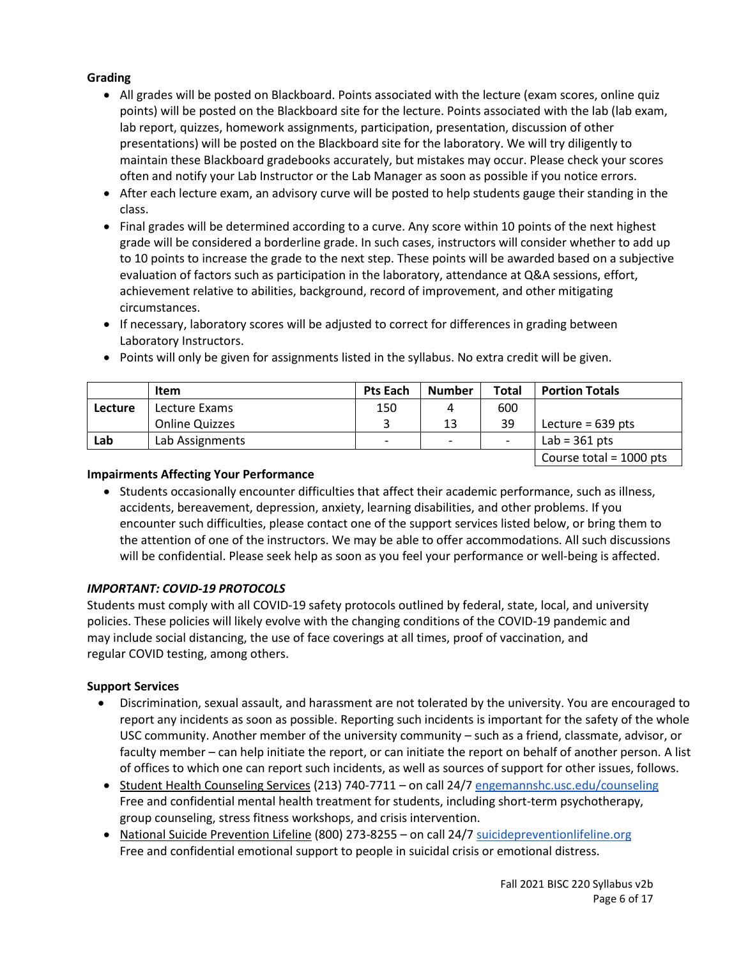# **Grading**

- All grades will be posted on Blackboard. Points associated with the lecture (exam scores, online quiz points) will be posted on the Blackboard site for the lecture. Points associated with the lab (lab exam, lab report, quizzes, homework assignments, participation, presentation, discussion of other presentations) will be posted on the Blackboard site for the laboratory. We will try diligently to maintain these Blackboard gradebooks accurately, but mistakes may occur. Please check your scores often and notify your Lab Instructor or the Lab Manager as soon as possible if you notice errors.
- After each lecture exam, an advisory curve will be posted to help students gauge their standing in the class.
- Final grades will be determined according to a curve. Any score within 10 points of the next highest grade will be considered a borderline grade. In such cases, instructors will consider whether to add up to 10 points to increase the grade to the next step. These points will be awarded based on a subjective evaluation of factors such as participation in the laboratory, attendance at Q&A sessions, effort, achievement relative to abilities, background, record of improvement, and other mitigating circumstances.
- If necessary, laboratory scores will be adjusted to correct for differences in grading between Laboratory Instructors.

|                | <b>Item</b>           | <b>Pts Each</b>          | <b>Number</b>            | Total | <b>Portion Totals</b>     |
|----------------|-----------------------|--------------------------|--------------------------|-------|---------------------------|
| <b>Lecture</b> | Lecture Exams         | 150                      | 4                        | 600   |                           |
|                | <b>Online Quizzes</b> |                          | 13                       | 39    | Lecture = $639$ pts       |
| Lab            | Lab Assignments       | $\overline{\phantom{0}}$ | $\overline{\phantom{0}}$ |       | Lab = $361$ pts           |
|                |                       |                          |                          |       | Course total = $1000$ pts |

• Points will only be given for assignments listed in the syllabus. No extra credit will be given.

## **Impairments Affecting Your Performance**

• Students occasionally encounter difficulties that affect their academic performance, such as illness, accidents, bereavement, depression, anxiety, learning disabilities, and other problems. If you encounter such difficulties, please contact one of the support services listed below, or bring them to the attention of one of the instructors. We may be able to offer accommodations. All such discussions will be confidential. Please seek help as soon as you feel your performance or well-being is affected.

## *IMPORTANT: COVID-19 PROTOCOLS*

Students must comply with all COVID-19 safety protocols outlined by federal, state, local, and university policies. These policies will likely evolve with the changing conditions of the COVID-19 pandemic and may include social distancing, the use of face coverings at all times, proof of vaccination, and regular COVID testing, among others.

## **Support Services**

- Discrimination, sexual assault, and harassment are not tolerated by the university. You are encouraged to report any incidents as soon as possible. Reporting such incidents is important for the safety of the whole USC community. Another member of the university community – such as a friend, classmate, advisor, or faculty member – can help initiate the report, or can initiate the report on behalf of another person. A list of offices to which one can report such incidents, as well as sources of support for other issues, follows.
- Student Health Counseling Services (213) 740-7711 on call 24/7 [engemannshc.usc.edu/counseling](https://engemannshc.usc.edu/counseling/) Free and confidential mental health treatment for students, including short-term psychotherapy, group counseling, stress fitness workshops, and crisis intervention.
- National Suicide Prevention Lifeline (800) 273-8255 on call 24/[7 suicidepreventionlifeline.org](http://www.suicidepreventionlifeline.org/) Free and confidential emotional support to people in suicidal crisis or emotional distress.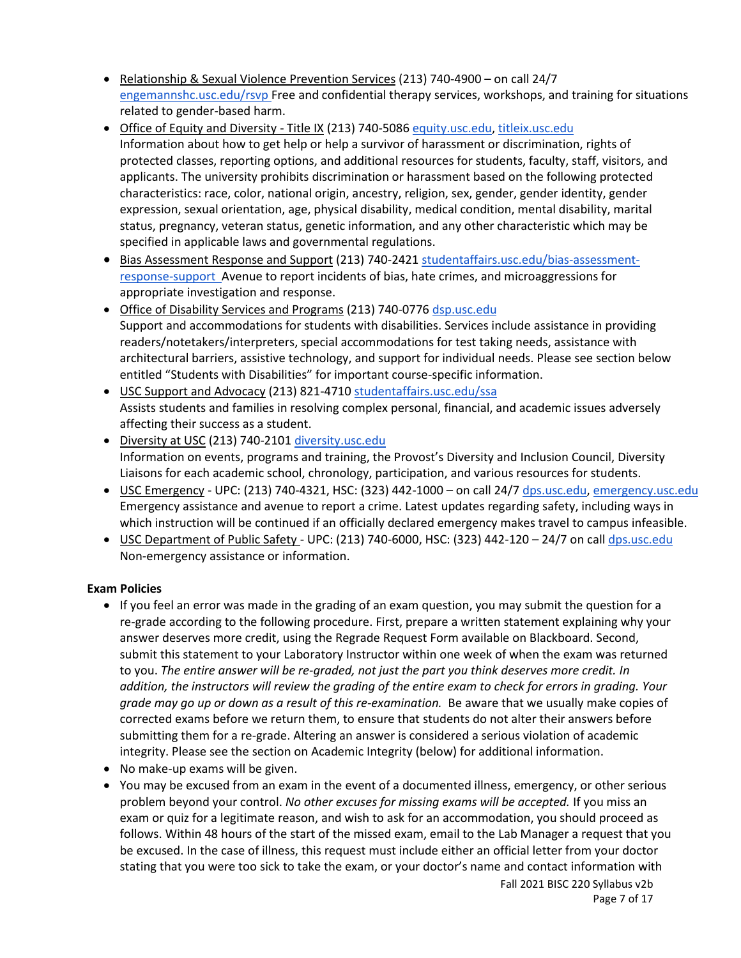- Relationship & Sexual Violence Prevention Services (213) 740-4900 on call 24/7 [engemannshc.usc.edu/rsvp](https://engemannshc.usc.edu/rsvp/) Free and confidential therapy services, workshops, and training for situations related to gender-based harm.
- Office of Equity and Diversity Title IX (213) 740-5086 [equity.usc.edu,](https://equity.usc.edu/) [titleix.usc.edu](http://titleix.usc.edu/) Information about how to get help or help a survivor of harassment or discrimination, rights of protected classes, reporting options, and additional resources for students, faculty, staff, visitors, and applicants. The university prohibits discrimination or harassment based on the following protected characteristics: race, color, national origin, ancestry, religion, sex, gender, gender identity, gender expression, sexual orientation, age, physical disability, medical condition, mental disability, marital status, pregnancy, veteran status, genetic information, and any other characteristic which may be specified in applicable laws and governmental regulations.
- **Bias Assessment Response and Support (213) 740-2421 [studentaffairs.usc.edu/bias-assessment](https://studentaffairs.usc.edu/bias-assessment-response-support/)**[response-support](https://studentaffairs.usc.edu/bias-assessment-response-support/) Avenue to report incidents of bias, hate crimes, and microaggressions for appropriate investigation and response.
- Office of Disability Services and Programs (213) 740-0776 [dsp.usc.edu](http://dsp.usc.edu/) Support and accommodations for students with disabilities. Services include assistance in providing readers/notetakers/interpreters, special accommodations for test taking needs, assistance with architectural barriers, assistive technology, and support for individual needs. Please see section below entitled "Students with Disabilities" for important course-specific information.
- USC Support and Advocacy (213) 821-4710 [studentaffairs.usc.edu/ssa](https://studentaffairs.usc.edu/ssa/) Assists students and families in resolving complex personal, financial, and academic issues adversely affecting their success as a student.
- Diversity at USC (213) 740-2101 [diversity.usc.edu](https://diversity.usc.edu/) Information on events, programs and training, the Provost's Diversity and Inclusion Council, Diversity Liaisons for each academic school, chronology, participation, and various resources for students.
- USC Emergency UPC: (213) 740-4321, HSC: (323) 442-1000 on call 24/7 [dps.usc.edu,](http://dps.usc.edu/) [emergency.usc.edu](http://emergency.usc.edu/) Emergency assistance and avenue to report a crime. Latest updates regarding safety, including ways in which instruction will be continued if an officially declared emergency makes travel to campus infeasible.
- USC Department of Public Safety UPC: (213) 740-6000, HSC: (323) 442-120 24/7 on cal[l dps.usc.edu](http://dps.usc.edu/) Non-emergency assistance or information.

# **Exam Policies**

- If you feel an error was made in the grading of an exam question, you may submit the question for a re-grade according to the following procedure. First, prepare a written statement explaining why your answer deserves more credit, using the Regrade Request Form available on Blackboard. Second, submit this statement to your Laboratory Instructor within one week of when the exam was returned to you. *The entire answer will be re-graded, not just the part you think deserves more credit. In addition, the instructors will review the grading of the entire exam to check for errors in grading. Your grade may go up or down as a result of this re-examination.* Be aware that we usually make copies of corrected exams before we return them, to ensure that students do not alter their answers before submitting them for a re-grade. Altering an answer is considered a serious violation of academic integrity. Please see the section on Academic Integrity (below) for additional information.
- No make-up exams will be given.
- You may be excused from an exam in the event of a documented illness, emergency, or other serious problem beyond your control. *No other excuses for missing exams will be accepted.* If you miss an exam or quiz for a legitimate reason, and wish to ask for an accommodation, you should proceed as follows. Within 48 hours of the start of the missed exam, email to the Lab Manager a request that you be excused. In the case of illness, this request must include either an official letter from your doctor stating that you were too sick to take the exam, or your doctor's name and contact information with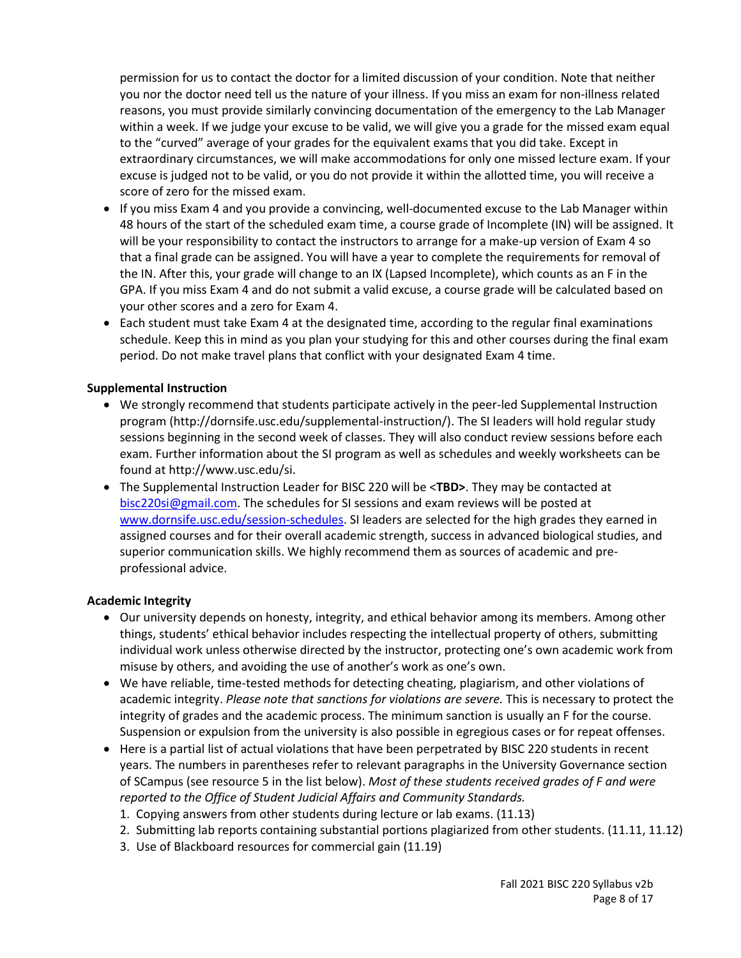permission for us to contact the doctor for a limited discussion of your condition. Note that neither you nor the doctor need tell us the nature of your illness. If you miss an exam for non-illness related reasons, you must provide similarly convincing documentation of the emergency to the Lab Manager within a week. If we judge your excuse to be valid, we will give you a grade for the missed exam equal to the "curved" average of your grades for the equivalent exams that you did take. Except in extraordinary circumstances, we will make accommodations for only one missed lecture exam. If your excuse is judged not to be valid, or you do not provide it within the allotted time, you will receive a score of zero for the missed exam.

- If you miss Exam 4 and you provide a convincing, well-documented excuse to the Lab Manager within 48 hours of the start of the scheduled exam time, a course grade of Incomplete (IN) will be assigned. It will be your responsibility to contact the instructors to arrange for a make-up version of Exam 4 so that a final grade can be assigned. You will have a year to complete the requirements for removal of the IN. After this, your grade will change to an IX (Lapsed Incomplete), which counts as an F in the GPA. If you miss Exam 4 and do not submit a valid excuse, a course grade will be calculated based on your other scores and a zero for Exam 4.
- Each student must take Exam 4 at the designated time, according to the regular final examinations schedule. Keep this in mind as you plan your studying for this and other courses during the final exam period. Do not make travel plans that conflict with your designated Exam 4 time.

#### **Supplemental Instruction**

- We strongly recommend that students participate actively in the peer-led Supplemental Instruction program [\(http://dornsife.usc.edu/supplemental-instruction/\)](http://dornsife.usc.edu/supplemental-instruction/). The SI leaders will hold regular study sessions beginning in the second week of classes. They will also conduct review sessions before each exam. Further information about the SI program as well as schedules and weekly worksheets can be found at http://www.usc.edu/si.
- The Supplemental Instruction Leader for BISC 220 will be <**TBD>**. They may be contacted at [bisc220si@gmail.com.](mailto:bisc220si@gmail.com) The schedules for SI sessions and exam reviews will be posted at [www.dornsife.usc.edu/session-schedules.](http://www.dornsife.usc.edu/session-schedules) SI leaders are selected for the high grades they earned in assigned courses and for their overall academic strength, success in advanced biological studies, and superior communication skills. We highly recommend them as sources of academic and preprofessional advice.

#### **Academic Integrity**

- Our university depends on honesty, integrity, and ethical behavior among its members. Among other things, students' ethical behavior includes respecting the intellectual property of others, submitting individual work unless otherwise directed by the instructor, protecting one's own academic work from misuse by others, and avoiding the use of another's work as one's own.
- We have reliable, time-tested methods for detecting cheating, plagiarism, and other violations of academic integrity. *Please note that sanctions for violations are severe.* This is necessary to protect the integrity of grades and the academic process. The minimum sanction is usually an F for the course. Suspension or expulsion from the university is also possible in egregious cases or for repeat offenses.
- Here is a partial list of actual violations that have been perpetrated by BISC 220 students in recent years. The numbers in parentheses refer to relevant paragraphs in the University Governance section of SCampus (see resource 5 in the list below). *Most of these students received grades of F and were reported to the Office of Student Judicial Affairs and Community Standards.*
	- 1. Copying answers from other students during lecture or lab exams. (11.13)
	- 2. Submitting lab reports containing substantial portions plagiarized from other students. (11.11, 11.12)
	- 3. Use of Blackboard resources for commercial gain (11.19)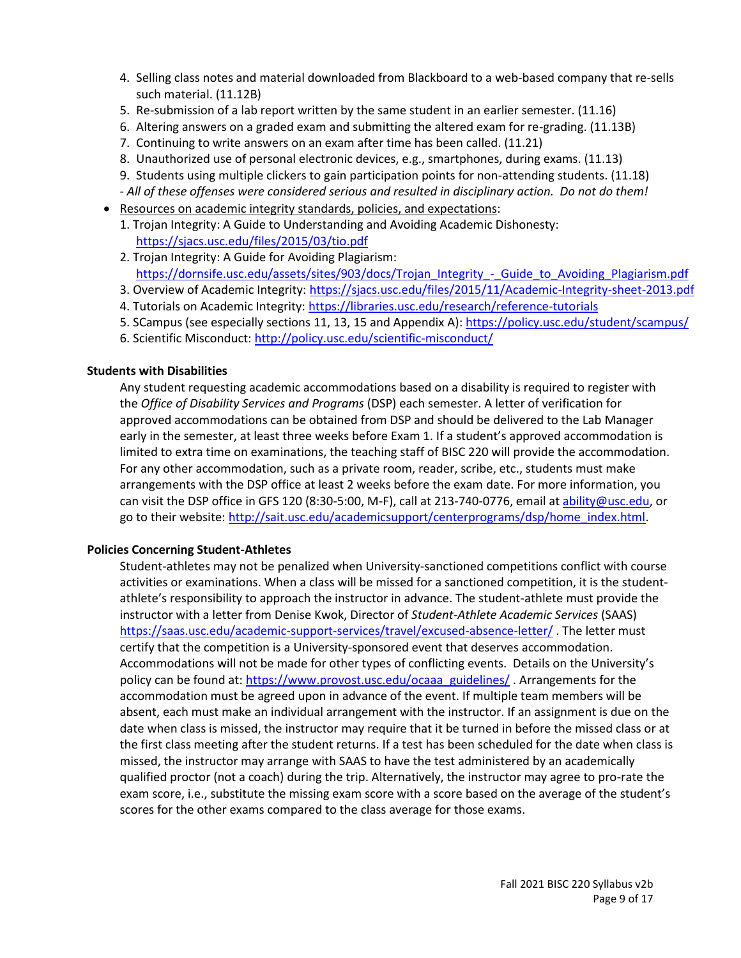- 4. Selling class notes and material downloaded from Blackboard to a web-based company that re-sells such material. (11.12B)
- 5. Re-submission of a lab report written by the same student in an earlier semester. (11.16)
- 6. Altering answers on a graded exam and submitting the altered exam for re-grading. (11.13B)
- 7. Continuing to write answers on an exam after time has been called. (11.21)
- 8. Unauthorized use of personal electronic devices, e.g., smartphones, during exams. (11.13)
- 9. Students using multiple clickers to gain participation points for non-attending students. (11.18) *- All of these offenses were considered serious and resulted in disciplinary action. Do not do them!*
- Resources on academic integrity standards, policies, and expectations:
	- 1. Trojan Integrity: A Guide to Understanding and Avoiding Academic Dishonesty: <https://sjacs.usc.edu/files/2015/03/tio.pdf>
	- 2. Trojan Integrity: A Guide for Avoiding Plagiarism: [https://dornsife.usc.edu/assets/sites/903/docs/Trojan\\_Integrity\\_-\\_Guide\\_to\\_Avoiding\\_Plagiarism.pdf](https://dornsife.usc.edu/assets/sites/903/docs/Trojan_Integrity_-_Guide_to_Avoiding_Plagiarism.pdf)
	- 3. Overview of Academic Integrity[: https://sjacs.usc.edu/files/2015/11/Academic-Integrity-sheet-2013.pdf](https://sjacs.usc.edu/files/2015/11/Academic-Integrity-sheet-2013.pdf)
	- 4. Tutorials on Academic Integrity:<https://libraries.usc.edu/research/reference-tutorials>
	- 5. SCampus (see especially sections 11, 13, 15 and Appendix A): <https://policy.usc.edu/student/scampus/>
	- 6. Scientific Misconduct: <http://policy.usc.edu/scientific-misconduct/>

## **Students with Disabilities**

Any student requesting academic accommodations based on a disability is required to register with the *Office of Disability Services and Programs* (DSP) each semester. A letter of verification for approved accommodations can be obtained from DSP and should be delivered to the Lab Manager early in the semester, at least three weeks before Exam 1. If a student's approved accommodation is limited to extra time on examinations, the teaching staff of BISC 220 will provide the accommodation. For any other accommodation, such as a private room, reader, scribe, etc., students must make arrangements with the DSP office at least 2 weeks before the exam date. For more information, you can visit the DSP office in GFS 120 (8:30-5:00, M-F), call at 213-740-0776, email at [ability@usc.edu,](mailto:ability@usc.edu) or go to their website[: http://sait.usc.edu/academicsupport/centerprograms/dsp/home\\_index.html.](http://sait.usc.edu/academicsupport/centerprograms/dsp/home_index.html)

## **Policies Concerning Student-Athletes**

Student‐athletes may not be penalized when University‐sanctioned competitions conflict with course activities or examinations. When a class will be missed for a sanctioned competition, it is the student‐ athlete's responsibility to approach the instructor in advance. The student-athlete must provide the instructor with a letter from Denise Kwok, Director of *Student-Athlete Academic Services* (SAAS) <https://saas.usc.edu/academic-support-services/travel/excused-absence-letter/> . The letter must certify that the competition is a University-sponsored event that deserves accommodation. Accommodations will not be made for other types of conflicting events. Details on the University's policy can be found at: [https://www.provost.usc.edu/ocaaa\\_guidelines/](https://www.provost.usc.edu/ocaaa_guidelines/) . Arrangements for the accommodation must be agreed upon in advance of the event. If multiple team members will be absent, each must make an individual arrangement with the instructor. If an assignment is due on the date when class is missed, the instructor may require that it be turned in before the missed class or at the first class meeting after the student returns. If a test has been scheduled for the date when class is missed, the instructor may arrange with SAAS to have the test administered by an academically qualified proctor (not a coach) during the trip. Alternatively, the instructor may agree to pro-rate the exam score, i.e., substitute the missing exam score with a score based on the average of the student's scores for the other exams compared to the class average for those exams.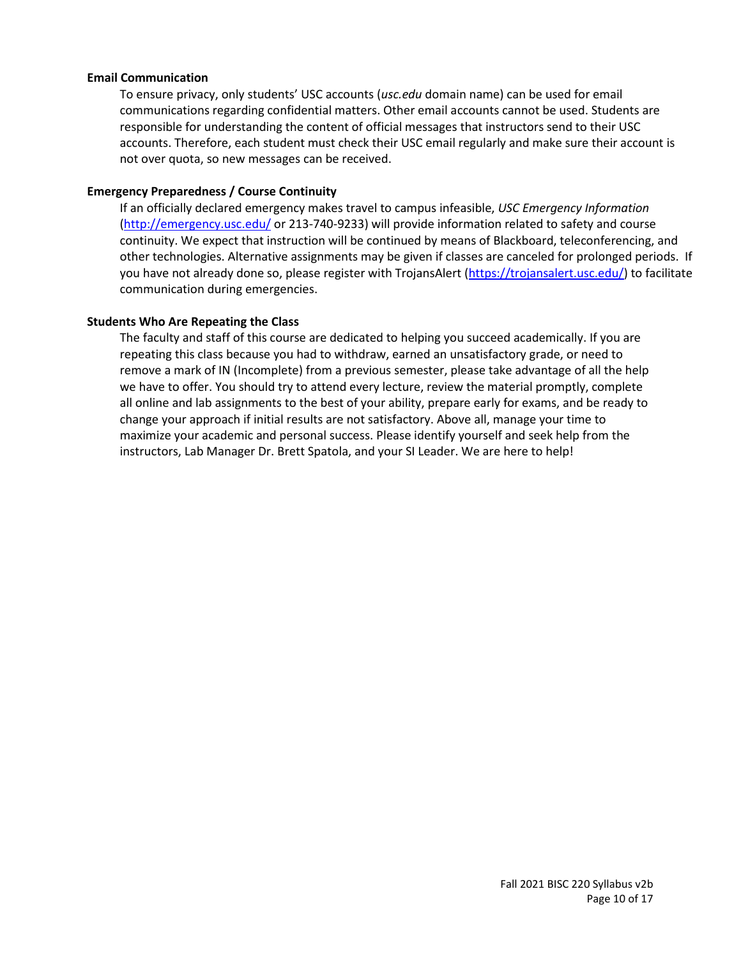#### **Email Communication**

To ensure privacy, only students' USC accounts (*usc.edu* domain name) can be used for email communications regarding confidential matters. Other email accounts cannot be used. Students are responsible for understanding the content of official messages that instructors send to their USC accounts. Therefore, each student must check their USC email regularly and make sure their account is not over quota, so new messages can be received.

#### **Emergency Preparedness / Course Continuity**

If an officially declared emergency makes travel to campus infeasible, *USC Emergency Information* [\(http://emergency.usc.edu/](http://emergency.usc.edu/) or 213-740-9233) will provide information related to safety and course continuity. We expect that instruction will be continued by means of Blackboard, teleconferencing, and other technologies. Alternative assignments may be given if classes are canceled for prolonged periods. If you have not already done so, please register with TrojansAlert [\(https://trojansalert.usc.edu/\)](https://trojansalert.usc.edu/) to facilitate communication during emergencies.

## **Students Who Are Repeating the Class**

The faculty and staff of this course are dedicated to helping you succeed academically. If you are repeating this class because you had to withdraw, earned an unsatisfactory grade, or need to remove a mark of IN (Incomplete) from a previous semester, please take advantage of all the help we have to offer. You should try to attend every lecture, review the material promptly, complete all online and lab assignments to the best of your ability, prepare early for exams, and be ready to change your approach if initial results are not satisfactory. Above all, manage your time to maximize your academic and personal success. Please identify yourself and seek help from the instructors, Lab Manager Dr. Brett Spatola, and your SI Leader. We are here to help!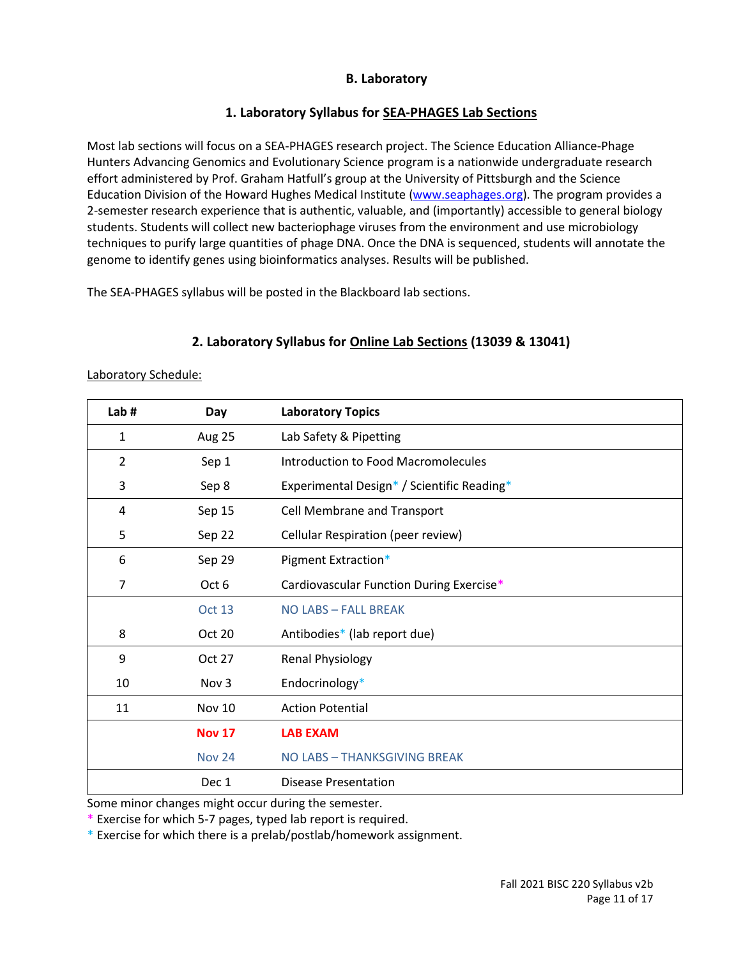# **B. Laboratory**

# **1. Laboratory Syllabus for SEA-PHAGES Lab Sections**

Most lab sections will focus on a SEA-PHAGES research project. The Science Education Alliance-Phage Hunters Advancing Genomics and Evolutionary Science program is a nationwide undergraduate research effort administered by Prof. Graham Hatfull's group at the University of Pittsburgh and the Science Education Division of the Howard Hughes Medical Institute [\(www.seaphages.org\)](http://www.seaphages.org/). The program provides a 2-semester research experience that is authentic, valuable, and (importantly) accessible to general biology students. Students will collect new bacteriophage viruses from the environment and use microbiology techniques to purify large quantities of phage DNA. Once the DNA is sequenced, students will annotate the genome to identify genes using bioinformatics analyses. Results will be published.

The SEA-PHAGES syllabus will be posted in the Blackboard lab sections.

| Lab# | Day              | <b>Laboratory Topics</b>                   |
|------|------------------|--------------------------------------------|
| 1    | Aug 25           | Lab Safety & Pipetting                     |
| 2    | Sep 1            | Introduction to Food Macromolecules        |
| 3    | Sep 8            | Experimental Design* / Scientific Reading* |
| 4    | Sep 15           | Cell Membrane and Transport                |
| 5    | Sep 22           | Cellular Respiration (peer review)         |
| 6    | Sep 29           | Pigment Extraction*                        |
| 7    | Oct 6            | Cardiovascular Function During Exercise*   |
|      | <b>Oct 13</b>    | NO LABS - FALL BREAK                       |
| 8    | Oct 20           | Antibodies* (lab report due)               |
| 9    | Oct 27           | Renal Physiology                           |
| 10   | Nov <sub>3</sub> | Endocrinology*                             |
| 11   | <b>Nov 10</b>    | <b>Action Potential</b>                    |
|      | <b>Nov 17</b>    | <b>LAB EXAM</b>                            |
|      | <b>Nov 24</b>    | NO LABS - THANKSGIVING BREAK               |
|      | Dec 1            | Disease Presentation                       |

# **2. Laboratory Syllabus for Online Lab Sections (13039 & 13041)**

Laboratory Schedule:

Some minor changes might occur during the semester.

\* Exercise for which 5-7 pages, typed lab report is required.

\* Exercise for which there is a prelab/postlab/homework assignment.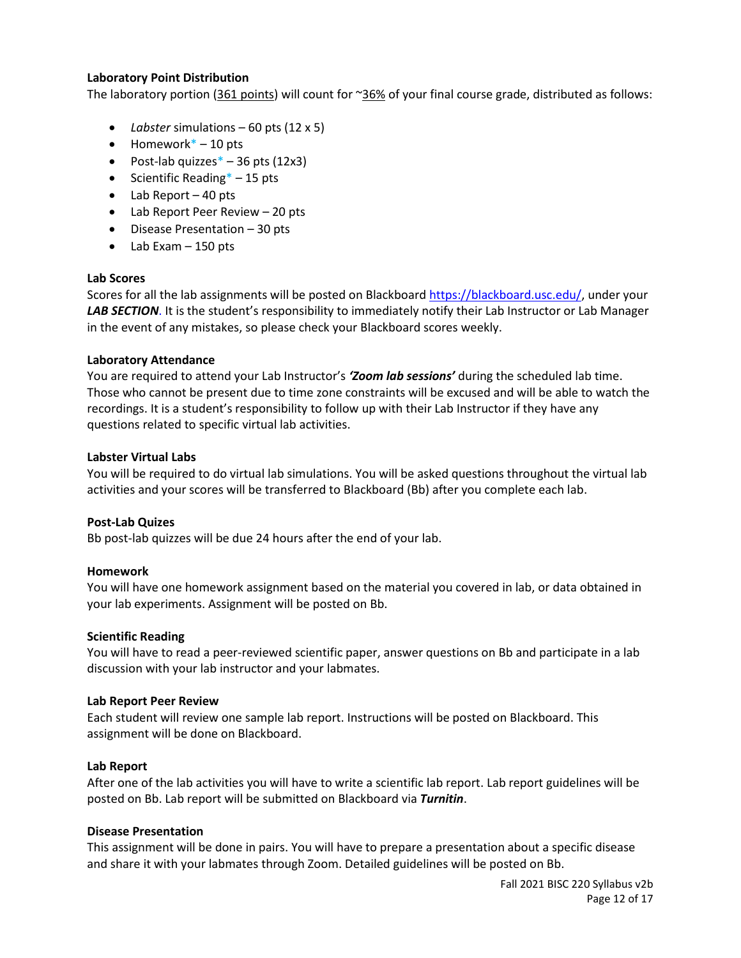### **Laboratory Point Distribution**

The laboratory portion (361 points) will count for ~36% of your final course grade, distributed as follows:

- *Labster* simulations 60 pts (12 x 5)
- $\bullet$  Homework\* 10 pts
- Post-lab quizzes $*$  36 pts (12x3)
- Scientific Reading $* 15$  pts
- $\bullet$  Lab Report 40 pts
- Lab Report Peer Review 20 pts
- $\bullet$  Disease Presentation 30 pts
- Lab Exam 150 pts

#### **Lab Scores**

Scores for all the lab assignments will be posted on Blackboard [https://blackboard.usc.edu/,](https://blackboard.usc.edu/) under your *LAB SECTION*. It is the student's responsibility to immediately notify their Lab Instructor or Lab Manager in the event of any mistakes, so please check your Blackboard scores weekly.

#### **Laboratory Attendance**

You are required to attend your Lab Instructor's *'Zoom lab sessions'* during the scheduled lab time. Those who cannot be present due to time zone constraints will be excused and will be able to watch the recordings. It is a student's responsibility to follow up with their Lab Instructor if they have any questions related to specific virtual lab activities.

#### **Labster Virtual Labs**

You will be required to do virtual lab simulations. You will be asked questions throughout the virtual lab activities and your scores will be transferred to Blackboard (Bb) after you complete each lab.

## **Post-Lab Quizes**

Bb post-lab quizzes will be due 24 hours after the end of your lab.

## **Homework**

You will have one homework assignment based on the material you covered in lab, or data obtained in your lab experiments. Assignment will be posted on Bb.

#### **Scientific Reading**

You will have to read a peer-reviewed scientific paper, answer questions on Bb and participate in a lab discussion with your lab instructor and your labmates.

#### **Lab Report Peer Review**

Each student will review one sample lab report. Instructions will be posted on Blackboard. This assignment will be done on Blackboard.

## **Lab Report**

After one of the lab activities you will have to write a scientific lab report. Lab report guidelines will be posted on Bb. Lab report will be submitted on Blackboard via *Turnitin*.

## **Disease Presentation**

This assignment will be done in pairs. You will have to prepare a presentation about a specific disease and share it with your labmates through Zoom. Detailed guidelines will be posted on Bb.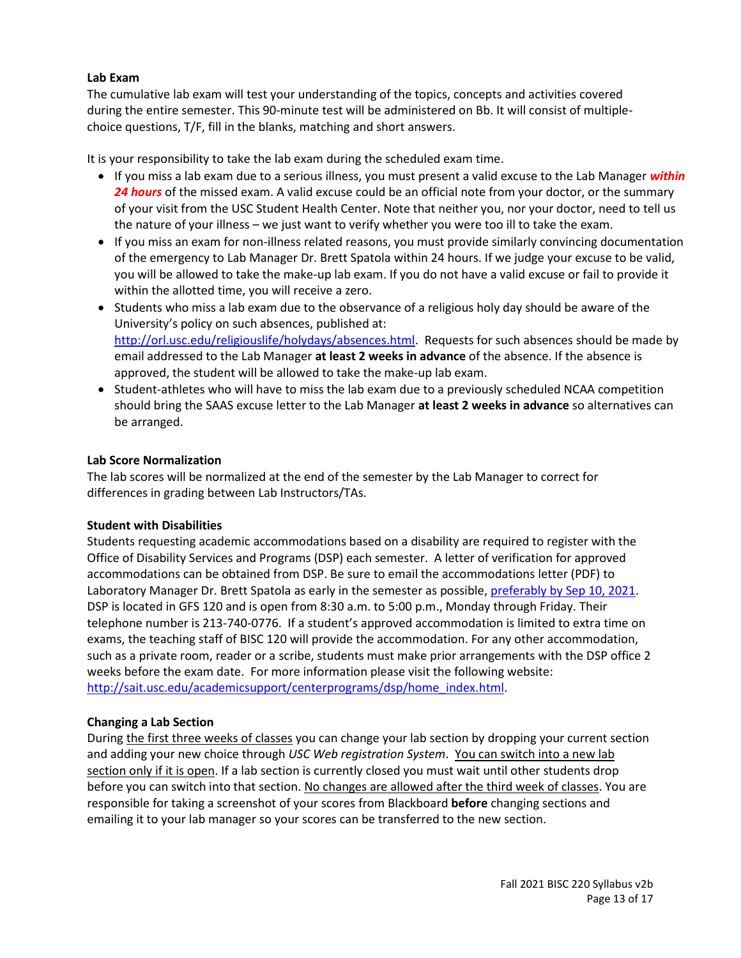## **Lab Exam**

The cumulative lab exam will test your understanding of the topics, concepts and activities covered during the entire semester. This 90-minute test will be administered on Bb. It will consist of multiplechoice questions, T/F, fill in the blanks, matching and short answers.

It is your responsibility to take the lab exam during the scheduled exam time.

- If you miss a lab exam due to a serious illness, you must present a valid excuse to the Lab Manager *within*  24 hours of the missed exam. A valid excuse could be an official note from your doctor, or the summary of your visit from the USC Student Health Center. Note that neither you, nor your doctor, need to tell us the nature of your illness – we just want to verify whether you were too ill to take the exam.
- If you miss an exam for non-illness related reasons, you must provide similarly convincing documentation of the emergency to Lab Manager Dr. Brett Spatola within 24 hours. If we judge your excuse to be valid, you will be allowed to take the make-up lab exam. If you do not have a valid excuse or fail to provide it within the allotted time, you will receive a zero.
- Students who miss a lab exam due to the observance of a religious holy day should be aware of the University's policy on such absences, published at: [http://orl.usc.edu/religiouslife/holydays/absences.html.](http://orl.usc.edu/religiouslife/holydays/absences.html) Requests for such absences should be made by email addressed to the Lab Manager **at least 2 weeks in advance** of the absence. If the absence is approved, the student will be allowed to take the make-up lab exam.
- Student-athletes who will have to miss the lab exam due to a previously scheduled NCAA competition should bring the SAAS excuse letter to the Lab Manager **at least 2 weeks in advance** so alternatives can be arranged.

## **Lab Score Normalization**

The lab scores will be normalized at the end of the semester by the Lab Manager to correct for differences in grading between Lab Instructors/TAs.

## **Student with Disabilities**

Students requesting academic accommodations based on a disability are required to register with the Office of Disability Services and Programs (DSP) each semester. A letter of verification for approved accommodations can be obtained from DSP. Be sure to email the accommodations letter (PDF) to Laboratory Manager Dr. Brett Spatola as early in the semester as possible, preferably by Sep 10, 2021. DSP is located in GFS 120 and is open from 8:30 a.m. to 5:00 p.m., Monday through Friday. Their telephone number is 213-740-0776. If a student's approved accommodation is limited to extra time on exams, the teaching staff of BISC 120 will provide the accommodation. For any other accommodation, such as a private room, reader or a scribe, students must make prior arrangements with the DSP office 2 weeks before the exam date. For more information please visit the following website: [http://sait.usc.edu/academicsupport/centerprograms/dsp/home\\_index.html.](http://sait.usc.edu/academicsupport/centerprograms/dsp/home_index.html)

## **Changing a Lab Section**

During the first three weeks of classes you can change your lab section by dropping your current section and adding your new choice through *USC Web registration System*. You can switch into a new lab section only if it is open. If a lab section is currently closed you must wait until other students drop before you can switch into that section. No changes are allowed after the third week of classes. You are responsible for taking a screenshot of your scores from Blackboard **before** changing sections and emailing it to your lab manager so your scores can be transferred to the new section.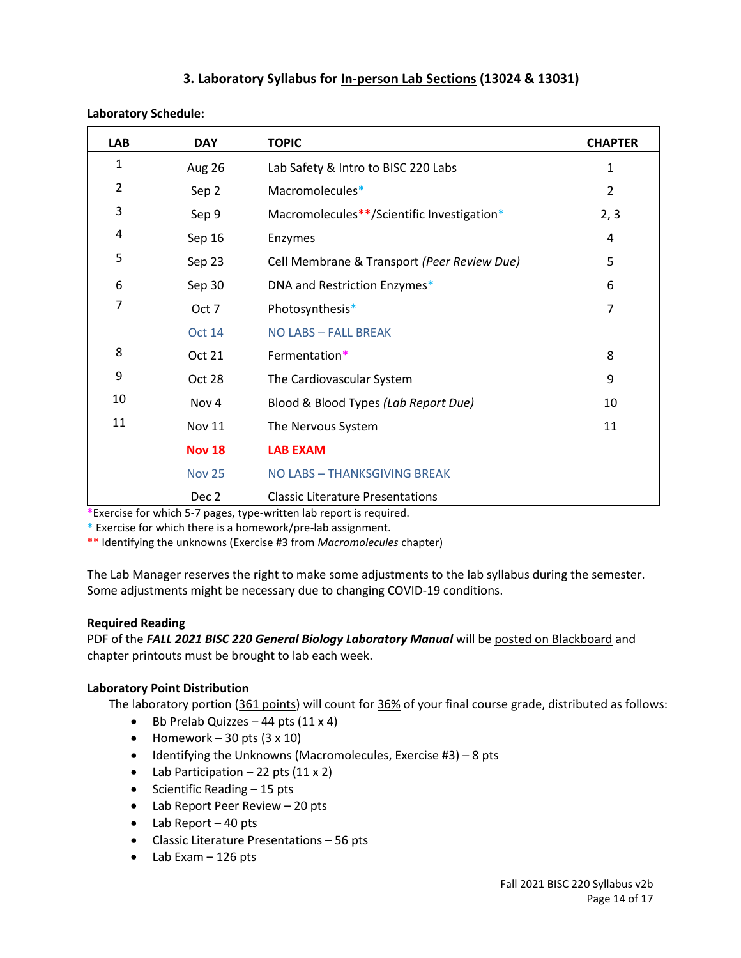# **3. Laboratory Syllabus for In-person Lab Sections (13024 & 13031)**

| <b>LAB</b>     | <b>DAY</b>    | <b>TOPIC</b>                                | <b>CHAPTER</b> |
|----------------|---------------|---------------------------------------------|----------------|
| 1              | Aug 26        | Lab Safety & Intro to BISC 220 Labs         | 1              |
| $\overline{2}$ | Sep 2         | Macromolecules*                             | $\overline{2}$ |
| 3              | Sep 9         | Macromolecules**/Scientific Investigation*  | 2, 3           |
| 4              | Sep 16        | Enzymes                                     | 4              |
| 5              | Sep 23        | Cell Membrane & Transport (Peer Review Due) | 5              |
| 6              | Sep 30        | DNA and Restriction Enzymes*                | 6              |
| 7              | Oct 7         | Photosynthesis*                             | 7              |
|                | <b>Oct 14</b> | <b>NO LABS - FALL BREAK</b>                 |                |
| 8              | Oct 21        | Fermentation*                               | 8              |
| 9              | Oct 28        | The Cardiovascular System                   | 9              |
| 10             | Nov 4         | Blood & Blood Types (Lab Report Due)        | 10             |
| 11             | <b>Nov 11</b> | The Nervous System                          | 11             |
|                | <b>Nov 18</b> | <b>LAB EXAM</b>                             |                |
|                | <b>Nov 25</b> | NO LABS - THANKSGIVING BREAK                |                |
|                | Dec 2         | <b>Classic Literature Presentations</b>     |                |

#### **Laboratory Schedule:**

\*Exercise for which 5-7 pages, type-written lab report is required.

\* Exercise for which there is a homework/pre-lab assignment.

\*\* Identifying the unknowns (Exercise #3 from *Macromolecules* chapter)

The Lab Manager reserves the right to make some adjustments to the lab syllabus during the semester. Some adjustments might be necessary due to changing COVID-19 conditions.

## **Required Reading**

PDF of the *FALL 2021 BISC 220 General Biology Laboratory Manual* will be posted on Blackboard and chapter printouts must be brought to lab each week.

# **Laboratory Point Distribution**

The laboratory portion (361 points) will count for 36% of your final course grade, distributed as follows:

- $\bullet$  Bb Prelab Quizzes 44 pts (11 x 4)
- Homework 30 pts  $(3 \times 10)$
- $\bullet$  Identifying the Unknowns (Macromolecules, Exercise #3) 8 pts
- Lab Participation  $-22$  pts  $(11 \times 2)$
- $\bullet$  Scientific Reading  $-15$  pts
- Lab Report Peer Review 20 pts
- Lab Report 40 pts
- Classic Literature Presentations 56 pts
- $\bullet$  Lab Exam  $-126$  pts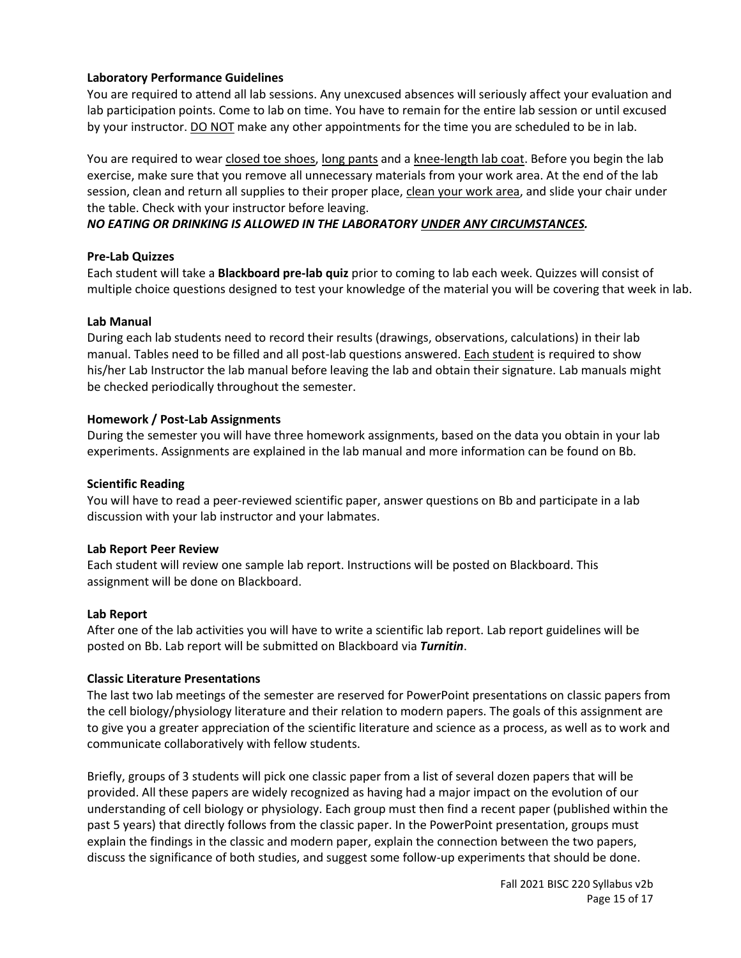## **Laboratory Performance Guidelines**

You are required to attend all lab sessions. Any unexcused absences will seriously affect your evaluation and lab participation points. Come to lab on time. You have to remain for the entire lab session or until excused by your instructor. DO NOT make any other appointments for the time you are scheduled to be in lab.

You are required to wear closed toe shoes, long pants and a knee-length lab coat. Before you begin the lab exercise, make sure that you remove all unnecessary materials from your work area. At the end of the lab session, clean and return all supplies to their proper place, clean your work area, and slide your chair under the table. Check with your instructor before leaving.

## *NO EATING OR DRINKING IS ALLOWED IN THE LABORATORY UNDER ANY CIRCUMSTANCES.*

## **Pre-Lab Quizzes**

Each student will take a **Blackboard pre-lab quiz** prior to coming to lab each week. Quizzes will consist of multiple choice questions designed to test your knowledge of the material you will be covering that week in lab.

## **Lab Manual**

During each lab students need to record their results (drawings, observations, calculations) in their lab manual. Tables need to be filled and all post-lab questions answered. Each student is required to show his/her Lab Instructor the lab manual before leaving the lab and obtain their signature. Lab manuals might be checked periodically throughout the semester.

## **Homework / Post-Lab Assignments**

During the semester you will have three homework assignments, based on the data you obtain in your lab experiments. Assignments are explained in the lab manual and more information can be found on Bb.

## **Scientific Reading**

You will have to read a peer-reviewed scientific paper, answer questions on Bb and participate in a lab discussion with your lab instructor and your labmates.

## **Lab Report Peer Review**

Each student will review one sample lab report. Instructions will be posted on Blackboard. This assignment will be done on Blackboard.

## **Lab Report**

After one of the lab activities you will have to write a scientific lab report. Lab report guidelines will be posted on Bb. Lab report will be submitted on Blackboard via *Turnitin*.

## **Classic Literature Presentations**

The last two lab meetings of the semester are reserved for PowerPoint presentations on classic papers from the cell biology/physiology literature and their relation to modern papers. The goals of this assignment are to give you a greater appreciation of the scientific literature and science as a process, as well as to work and communicate collaboratively with fellow students.

Briefly, groups of 3 students will pick one classic paper from a list of several dozen papers that will be provided. All these papers are widely recognized as having had a major impact on the evolution of our understanding of cell biology or physiology. Each group must then find a recent paper (published within the past 5 years) that directly follows from the classic paper. In the PowerPoint presentation, groups must explain the findings in the classic and modern paper, explain the connection between the two papers, discuss the significance of both studies, and suggest some follow-up experiments that should be done.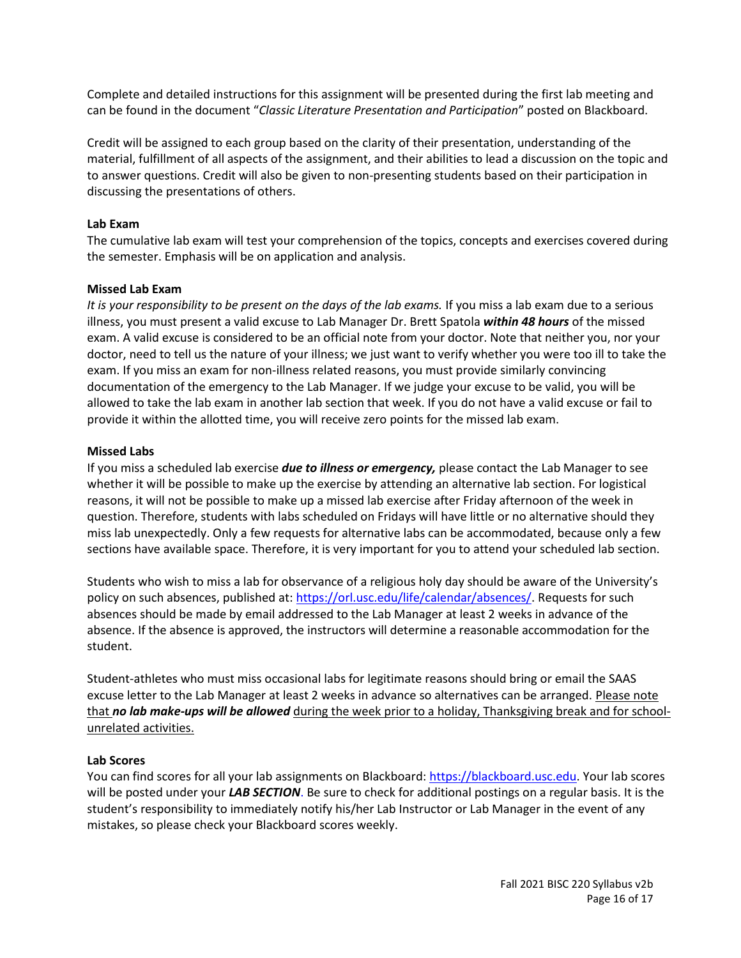Complete and detailed instructions for this assignment will be presented during the first lab meeting and can be found in the document "*Classic Literature Presentation and Participation*" posted on Blackboard.

Credit will be assigned to each group based on the clarity of their presentation, understanding of the material, fulfillment of all aspects of the assignment, and their abilities to lead a discussion on the topic and to answer questions. Credit will also be given to non-presenting students based on their participation in discussing the presentations of others.

## **Lab Exam**

The cumulative lab exam will test your comprehension of the topics, concepts and exercises covered during the semester. Emphasis will be on application and analysis.

#### **Missed Lab Exam**

*It is your responsibility to be present on the days of the lab exams.* If you miss a lab exam due to a serious illness, you must present a valid excuse to Lab Manager Dr. Brett Spatola *within 48 hours* of the missed exam. A valid excuse is considered to be an official note from your doctor. Note that neither you, nor your doctor, need to tell us the nature of your illness; we just want to verify whether you were too ill to take the exam. If you miss an exam for non-illness related reasons, you must provide similarly convincing documentation of the emergency to the Lab Manager. If we judge your excuse to be valid, you will be allowed to take the lab exam in another lab section that week. If you do not have a valid excuse or fail to provide it within the allotted time, you will receive zero points for the missed lab exam.

#### **Missed Labs**

If you miss a scheduled lab exercise *due to illness or emergency,* please contact the Lab Manager to see whether it will be possible to make up the exercise by attending an alternative lab section. For logistical reasons, it will not be possible to make up a missed lab exercise after Friday afternoon of the week in question. Therefore, students with labs scheduled on Fridays will have little or no alternative should they miss lab unexpectedly. Only a few requests for alternative labs can be accommodated, because only a few sections have available space. Therefore, it is very important for you to attend your scheduled lab section.

Students who wish to miss a lab for observance of a religious holy day should be aware of the University's policy on such absences, published at[: https://orl.usc.edu/life/calendar/absences/.](https://orl.usc.edu/life/calendar/absences/) Requests for such absences should be made by email addressed to the Lab Manager at least 2 weeks in advance of the absence. If the absence is approved, the instructors will determine a reasonable accommodation for the student.

Student-athletes who must miss occasional labs for legitimate reasons should bring or email the SAAS excuse letter to the Lab Manager at least 2 weeks in advance so alternatives can be arranged. Please note that *no lab make-ups will be allowed* during the week prior to a holiday, Thanksgiving break and for schoolunrelated activities.

## **Lab Scores**

You can find scores for all your lab assignments on Blackboard: [https://blackboard.usc.edu.](https://blackboard.usc.edu/) Your lab scores will be posted under your *LAB SECTION*. Be sure to check for additional postings on a regular basis. It is the student's responsibility to immediately notify his/her Lab Instructor or Lab Manager in the event of any mistakes, so please check your Blackboard scores weekly.